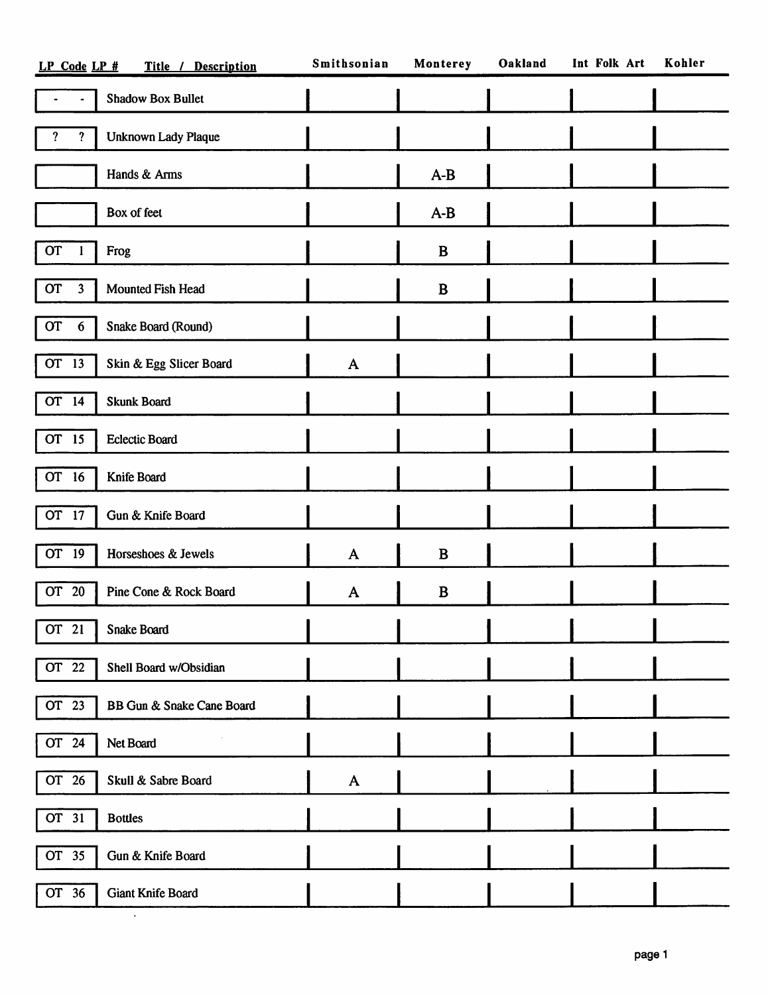| Title / Description<br>LP Code LP # |                            | Smithsonian  | Monterey | Oakland | Int Folk Art | Kohler |
|-------------------------------------|----------------------------|--------------|----------|---------|--------------|--------|
|                                     | <b>Shadow Box Bullet</b>   |              |          |         |              |        |
| ?<br>?                              | <b>Unknown Lady Plaque</b> |              |          |         |              |        |
|                                     | Hands & Arms               |              | $A-B$    |         |              |        |
|                                     | Box of feet                |              | $A-B$    |         |              |        |
| <b>OT</b><br>1                      | Frog                       |              | B        |         |              |        |
| <b>OT</b><br>3                      | Mounted Fish Head          |              | B        |         |              |        |
| <b>OT</b><br>$6\phantom{.}6$        | Snake Board (Round)        |              |          |         |              |        |
| OT 13                               | Skin & Egg Slicer Board    | $\mathbf{A}$ |          |         |              |        |
| $\overline{OT}$ 14                  | <b>Skunk Board</b>         |              |          |         |              |        |
| OT 15                               | <b>Eclectic Board</b>      |              |          |         |              |        |
| OT 16                               | Knife Board                |              |          |         |              |        |
| OT 17                               | Gun & Knife Board          |              |          |         |              |        |
| OT 19                               | Horseshoes & Jewels        | $\mathbf{A}$ | B        |         |              |        |
| OT 20                               | Pine Cone & Rock Board     | A            | B        |         |              |        |
| OT 21                               | Snake Board                |              |          |         |              |        |
| OT <sub>22</sub>                    | Shell Board w/Obsidian     |              |          |         |              |        |
| OT 23                               | BB Gun & Snake Cane Board  |              |          |         |              |        |
| OT 24                               | Net Board                  |              |          |         |              |        |
| OT 26                               | Skull & Sabre Board        | $\mathbf{A}$ |          |         |              |        |
| OT 31                               | <b>Bottles</b>             |              |          |         |              |        |
| OT 35                               | Gun & Knife Board          |              |          |         |              |        |
| OT 36                               | Giant Knife Board          |              |          |         |              |        |
|                                     | $\bullet$                  |              |          |         |              |        |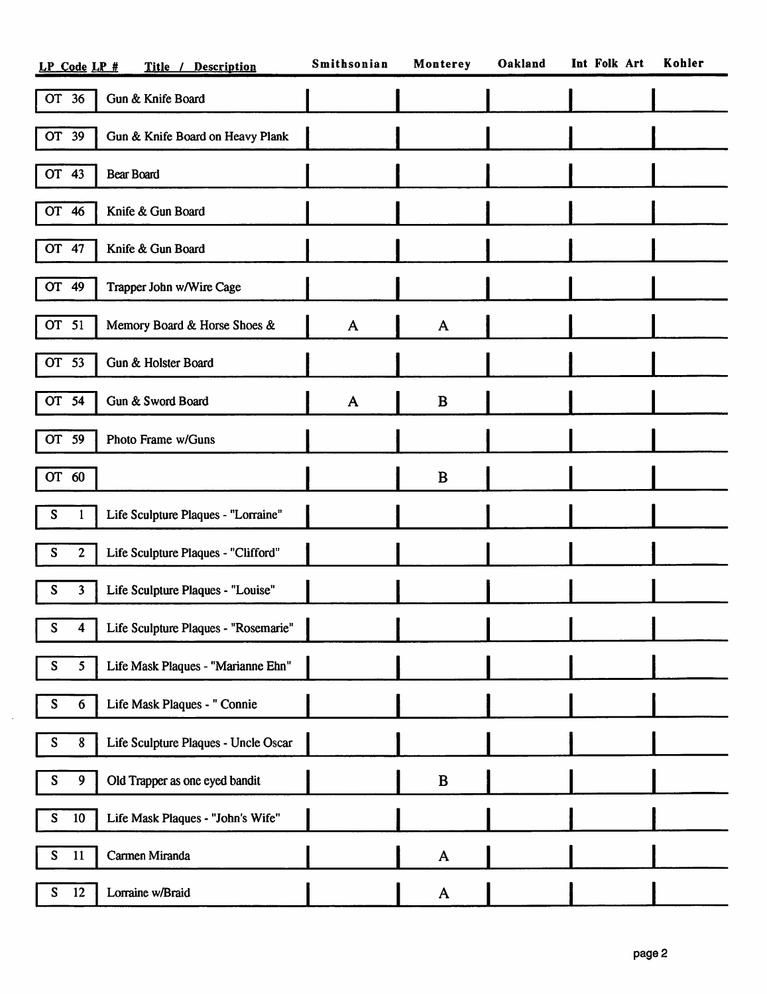| Title / Description<br>LP Code LP #                                | Smithsonian    | Monterey     | Oakland | Int Folk Art | Kohler |
|--------------------------------------------------------------------|----------------|--------------|---------|--------------|--------|
| OT 36<br>Gun & Knife Board                                         |                |              |         |              |        |
| <b>OT</b><br>39<br>Gun & Knife Board on Heavy Plank                |                |              |         |              |        |
| OT 43<br><b>Bear Board</b>                                         |                |              |         |              |        |
| Knife & Gun Board<br>OT 46                                         |                |              |         |              |        |
| OT 47<br>Knife & Gun Board                                         |                |              |         |              |        |
| OT 49<br>Trapper John w/Wire Cage                                  |                |              |         |              |        |
| OT 51<br>Memory Board & Horse Shoes &                              | $\mathbf{A}$   | A            |         |              |        |
| <b>OT</b><br>53<br>Gun & Holster Board                             |                |              |         |              |        |
| OT 54<br>Gun & Sword Board                                         | A              | B            |         |              |        |
| OT 59<br>Photo Frame w/Guns                                        |                |              |         |              |        |
| OT 60                                                              |                | B            |         |              |        |
| S<br>Life Sculpture Plaques - "Lorraine"<br>1                      |                |              |         |              |        |
| S<br>$\boldsymbol{2}$<br>Life Sculpture Plaques - "Clifford"       |                |              |         |              |        |
| S<br>3<br>Life Sculpture Plaques - "Louise"                        |                |              |         |              |        |
| Life Sculpture Plaques - "Rosemarie"<br>S<br>4                     | $\blacksquare$ |              |         |              |        |
| Life Mask Plaques - "Marianne Ehn"<br>${\bf S}$<br>$5\phantom{.0}$ |                |              |         |              |        |
| S<br>Life Mask Plaques - " Connie<br>$\boldsymbol{6}$              |                |              |         |              |        |
| S<br>Life Sculpture Plaques - Uncle Oscar<br>8                     |                |              |         |              |        |
| S<br>9<br>Old Trapper as one eyed bandit                           |                | B            |         |              |        |
| S<br>10<br>Life Mask Plaques - "John's Wife"                       |                |              |         |              |        |
| S<br>Carmen Miranda<br>11                                          |                | $\mathbf{A}$ |         |              |        |
| 12<br>S<br>Lorraine w/Braid                                        |                | A            |         |              |        |

 $\mathcal{A}^{\mathcal{A}}$